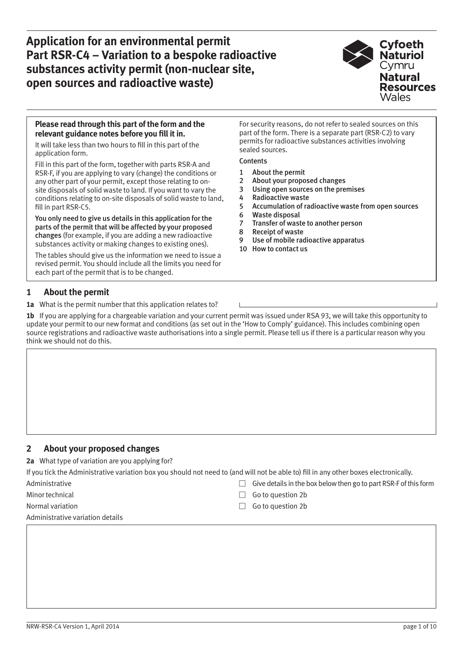

#### **Please read through this part of the form and the relevant guidance notes before you fill it in.**

It will take less than two hours to fill in this part of the application form.

Fill in this part of the form, together with parts RSR-A and RSR-F, if you are applying to vary (change) the conditions or any other part of your permit, except those relating to onsite disposals of solid waste to land. If you want to vary the conditions relating to on-site disposals of solid waste to land, fill in part RSR-C5.

You only need to give us details in this application for the parts of the permit that will be affected by your proposed changes (for example, if you are adding a new radioactive substances activity or making changes to existing ones).

The tables should give us the information we need to issue a revised permit. You should include all the limits you need for each part of the permit that is to be changed.

#### For security reasons, do not refer to sealed sources on this part of the form. There is a separate part (RSR-C2) to vary permits for radioactive substances activities involving sealed sources.

#### **Contents**

- 1 About the permit
- 2 About your proposed changes
- 3 [Using open sources on the premises](#page-1-0)
- 4 [Radioactive waste](#page-2-0)
- 5 [Accumulation of radioactive waste from open sources](#page-2-0)
- 6 [Waste disposal](#page-3-0)
- 7 [Transfer of waste to another person](#page-5-0)
- 8 [Receipt of waste](#page-7-0)
- 9 [Use of mobile radioactive apparatus](#page-7-0)
- 10 [How to contact us](#page-9-0)

## **1 About the permit**

**1a** What is the permit number that this application relates to?

**1b** If you are applying for a chargeable variation and your current permit was issued under RSA 93, we will take this opportunity to update your permit to our new format and conditions (as set out in the 'How to Comply' guidance). This includes combining open source registrations and radioactive waste authorisations into a single permit. Please tell us if there is a particular reason why you think we should not do this.

#### **2 About your proposed changes**

**2a** What type of variation are you applying for?

If you tick the Administrative variation box you should not need to (and will not be able to) fill in any other boxes electronically.

- 
- 
- 

Administrative variation details

- Administrative **Give details in the box below then go to part RSR-F of this form**
- Minor technical Go to question 2b
- Normal variation w Go to question 2b and the Contract of Contract of Contract of Contract of Contract of Contract of Contract of Contract of Contract of Contract of Contract of Contract of Contract of Contract of Contract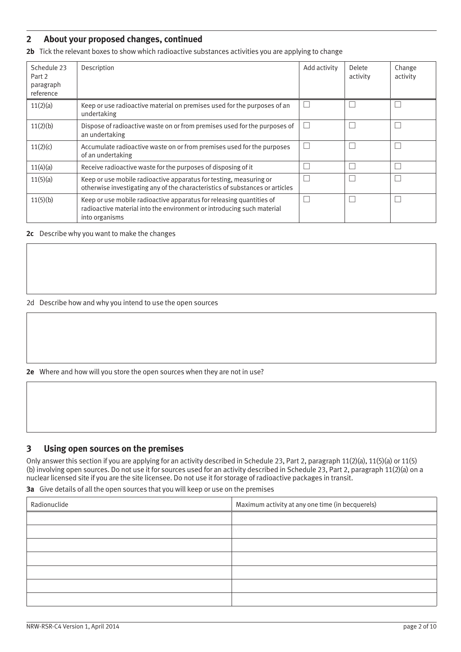### <span id="page-1-0"></span>**2 About your proposed changes, continued**

**2b** Tick the relevant boxes to show which radioactive substances activities you are applying to change

| Schedule 23<br>Part 2<br>paragraph<br>reference | Description                                                                                                                                                      | Add activity | Delete<br>activity | Change<br>activity |
|-------------------------------------------------|------------------------------------------------------------------------------------------------------------------------------------------------------------------|--------------|--------------------|--------------------|
| 11(2)(a)                                        | Keep or use radioactive material on premises used for the purposes of an<br>undertaking                                                                          |              |                    |                    |
| 11(2)(b)                                        | Dispose of radioactive waste on or from premises used for the purposes of<br>an undertaking                                                                      |              |                    |                    |
| 11(2)(c)                                        | Accumulate radioactive waste on or from premises used for the purposes<br>of an undertaking                                                                      |              |                    |                    |
| 11(4)(a)                                        | Receive radioactive waste for the purposes of disposing of it                                                                                                    |              |                    |                    |
| 11(5)(a)                                        | Keep or use mobile radioactive apparatus for testing, measuring or<br>otherwise investigating any of the characteristics of substances or articles               |              |                    |                    |
| 11(5)(b)                                        | Keep or use mobile radioactive apparatus for releasing quantities of<br>radioactive material into the environment or introducing such material<br>into organisms |              |                    |                    |

**2c** Describe why you want to make the changes

2d Describe how and why you intend to use the open sources

**2e** Where and how will you store the open sources when they are not in use?

#### **3 Using open sources on the premises**

Only answer this section if you are applying for an activity described in Schedule 23, Part 2, paragraph 11(2)(a), 11(5)(a) or 11(5) (b) involving open sources. Do not use it for sources used for an activity described in Schedule 23, Part 2, paragraph 11(2)(a) on a nuclear licensed site if you are the site licensee. Do not use it for storage of radioactive packages in transit.

**3a** Give details of all the open sources that you will keep or use on the premises

| Radionuclide | Maximum activity at any one time (in becquerels) |
|--------------|--------------------------------------------------|
|              |                                                  |
|              |                                                  |
|              |                                                  |
|              |                                                  |
|              |                                                  |
|              |                                                  |
|              |                                                  |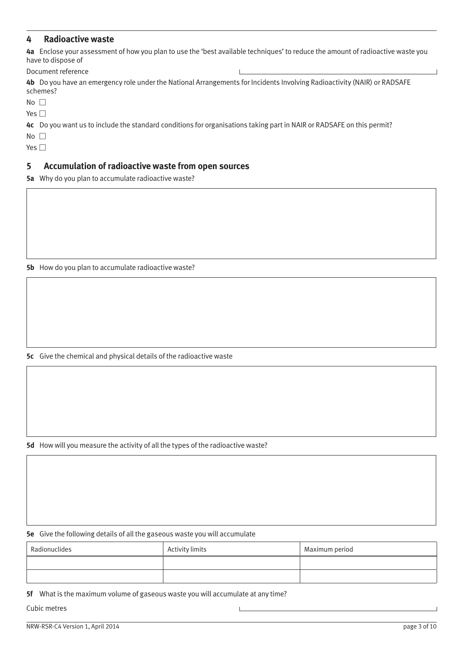### <span id="page-2-0"></span>**4 Radioactive waste**

**4a** Enclose your assessment of how you plan to use the 'best available techniques' to reduce the amount of radioactive waste you have to dispose of

Document reference

**4b** Do you have an emergency role under the National Arrangements for Incidents Involving Radioactivity (NAIR) or RADSAFE schemes?

 $No$   $\Box$ 

Yes  $\square$ 

**4c** Do you want us to include the standard conditions for organisations taking part in NAIR or RADSAFE on this permit?

 $No$   $\Box$ 

Yes  $\square$ 

#### **5 Accumulation of radioactive waste from open sources**

**5a** Why do you plan to accumulate radioactive waste?

**5b** How do you plan to accumulate radioactive waste?

**5c** Give the chemical and physical details of the radioactive waste

**5d** How will you measure the activity of all the types of the radioactive waste?

**5e** Give the following details of all the gaseous waste you will accumulate

| Radionuclides | Activity limits | Maximum period |
|---------------|-----------------|----------------|
|               |                 |                |
|               |                 |                |

 $\mathbf{I}$ 

**5f** What is the maximum volume of gaseous waste you will accumulate at any time?

Cubic metres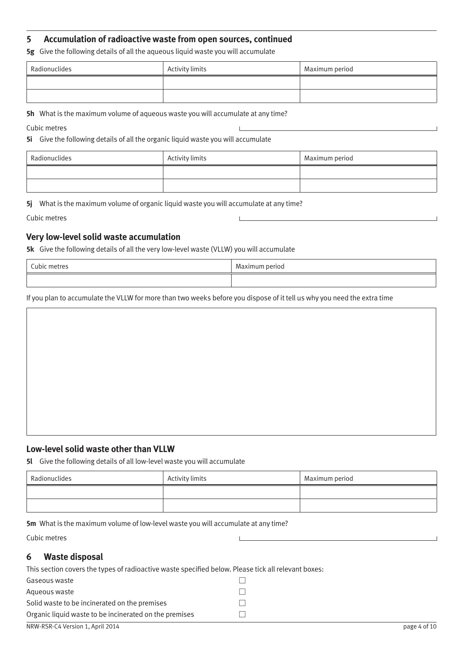## <span id="page-3-0"></span>**5 Accumulation of radioactive waste from open sources, continued**

**5g** Give the following details of all the aqueous liquid waste you will accumulate

| Radionuclides | Activity limits | Maximum period |
|---------------|-----------------|----------------|
|               |                 |                |
|               |                 |                |

**5h** What is the maximum volume of aqueous waste you will accumulate at any time?

Cubic metres

**5i** Give the following details of all the organic liquid waste you will accumulate

| Radionuclides | Activity limits | Maximum period |
|---------------|-----------------|----------------|
|               |                 |                |
|               |                 |                |

**5j** What is the maximum volume of organic liquid waste you will accumulate at any time?

Cubic metres

### **Very low-level solid waste accumulation**

**5k** Give the following details of all the very low-level waste (VLLW) you will accumulate

| $\sim$<br>TINIO<br>$\sim$ | $\sim$ $\sim$<br>10 C |
|---------------------------|-----------------------|
|                           |                       |

If you plan to accumulate the VLLW for more than two weeks before you dispose of it tell us why you need the extra time

#### **Low-level solid waste other than VLLW**

**5l** Give the following details of all low-level waste you will accumulate

| Radionuclides | Activity limits | Maximum period |
|---------------|-----------------|----------------|
|               |                 |                |
|               |                 |                |

**5m** What is the maximum volume of low-level waste you will accumulate at any time?

Cubic metres

## **6 Waste disposal**

| This section covers the types of radioactive waste specified below. Please tick all relevant boxes: |  |
|-----------------------------------------------------------------------------------------------------|--|
| Gaseous waste                                                                                       |  |
| Agueous waste                                                                                       |  |
| Solid waste to be incinerated on the premises                                                       |  |
| Organic liquid waste to be incinerated on the premises                                              |  |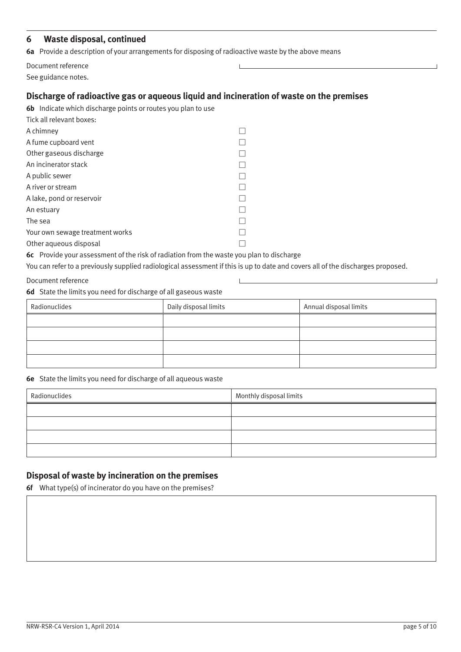## **6 Waste disposal, continued**

**6a** Provide a description of your arrangements for disposing of radioactive waste by the above means

| Document reference  |  |
|---------------------|--|
| See guidance notes. |  |

# **Discharge of radioactive gas or aqueous liquid and incineration of waste on the premises**

| Tick all relevant boxes:        |  |
|---------------------------------|--|
| A chimney                       |  |
| A fume cupboard vent            |  |
| Other gaseous discharge         |  |
| An incinerator stack            |  |
| A public sewer                  |  |
| A river or stream               |  |
| A lake, pond or reservoir       |  |
| An estuary                      |  |
| The sea                         |  |
| Your own sewage treatment works |  |
| Other aqueous disposal          |  |

**6c** Provide your assessment of the risk of radiation from the waste you plan to discharge

You can refer to a previously supplied radiological assessment if this is up to date and covers all of the discharges proposed.

#### Document reference

**6d** State the limits you need for discharge of all gaseous waste

| Radionuclides | Daily disposal limits | Annual disposal limits |
|---------------|-----------------------|------------------------|
|               |                       |                        |
|               |                       |                        |
|               |                       |                        |
|               |                       |                        |

#### **6e** State the limits you need for discharge of all aqueous waste

| Radionuclides | Monthly disposal limits |
|---------------|-------------------------|
|               |                         |
|               |                         |
|               |                         |
|               |                         |

## **Disposal of waste by incineration on the premises**

**6f** What type(s) of incinerator do you have on the premises?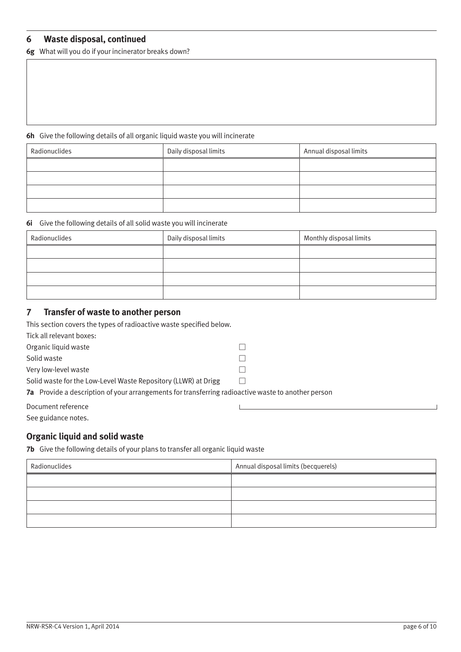## <span id="page-5-0"></span>**6 Waste disposal, continued**

**6g** What will you do if your incinerator breaks down?

#### **6h** Give the following details of all organic liquid waste you will incinerate

| Radionuclides | Daily disposal limits | Annual disposal limits |
|---------------|-----------------------|------------------------|
|               |                       |                        |
|               |                       |                        |
|               |                       |                        |
|               |                       |                        |

#### **6i** Give the following details of all solid waste you will incinerate

| Radionuclides | Daily disposal limits | Monthly disposal limits |
|---------------|-----------------------|-------------------------|
|               |                       |                         |
|               |                       |                         |
|               |                       |                         |
|               |                       |                         |

### **7 Transfer of waste to another person**

This section covers the types of radioactive waste specified below.

Tick all relevant boxes:

Organic liquid waste

Solid waste  $\square$ 

Very low-level waste  $\square$ 

Solid waste for the Low-Level Waste Repository (LLWR) at Drigg  $\square$ 

**7a** Provide a description of your arrangements for transferring radioactive waste to another person

Document reference

See guidance notes.

#### **Organic liquid and solid waste**

**7b** Give the following details of your plans to transfer all organic liquid waste

| Radionuclides | Annual disposal limits (becquerels) |
|---------------|-------------------------------------|
|               |                                     |
|               |                                     |
|               |                                     |
|               |                                     |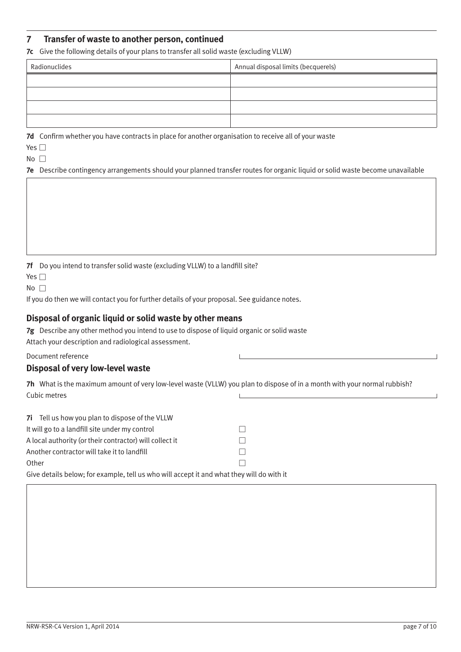## **7 Transfer of waste to another person, continued**

**7c** Give the following details of your plans to transfer all solid waste (excluding VLLW)

| Radionuclides | Annual disposal limits (becquerels) |  |
|---------------|-------------------------------------|--|
|               |                                     |  |
|               |                                     |  |
|               |                                     |  |
|               |                                     |  |

**7d** Confirm whether you have contracts in place for another organisation to receive all of your waste

Yes  $\square$ 

 $No \nightharpoonup$ 

**7e** Describe contingency arrangements should your planned transfer routes for organic liquid or solid waste become unavailable

**7f** Do you intend to transfer solid waste (excluding VLLW) to a landfill site?

Yes  $\Box$ 

 $No$ 

If you do then we will contact you for further details of your proposal. See guidance notes.

### **Disposal of organic liquid or solid waste by other means**

**7g** Describe any other method you intend to use to dispose of liquid organic or solid waste Attach your description and radiological assessment.

Document reference

#### **Disposal of very low-level waste**

**7h** What is the maximum amount of very low-level waste (VLLW) you plan to dispose of in a month with your normal rubbish? Cubic metres

| <b>7i</b> Tell us how you plan to dispose of the VLLW   |                                                                                                        |  |
|---------------------------------------------------------|--------------------------------------------------------------------------------------------------------|--|
| It will go to a landfill site under my control          |                                                                                                        |  |
| A local authority (or their contractor) will collect it |                                                                                                        |  |
| Another contractor will take it to landfill             |                                                                                                        |  |
| Other                                                   |                                                                                                        |  |
|                                                         | . At a calculated below a final considerabilities and services the computer sector for a discover that |  |

Give details below; for example, tell us who will accept it and what they will do with it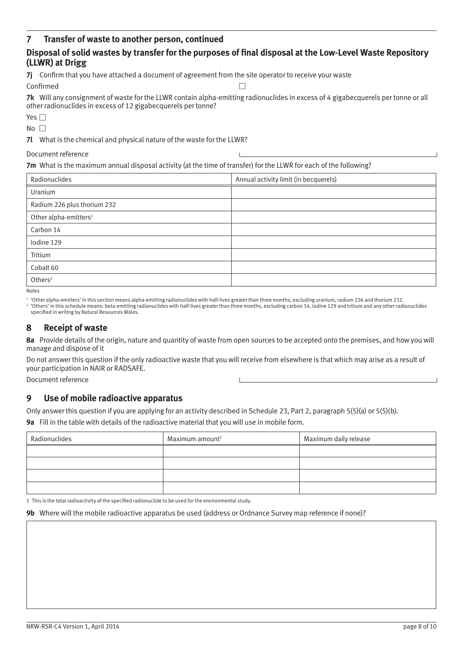## <span id="page-7-0"></span>**7 Transfer of waste to another person, continued**

## **Disposal of solid wastes by transfer for the purposes of final disposal at the Low-Level Waste Repository (LLWR) at Drigg**

**7j** Confirm that you have attached a document of agreement from the site operator to receive your waste

Confirmed

**7k** Will any consignment of waste for the LLWR contain alpha-emitting radionuclides in excess of 4 gigabecquerels per tonne or all other radionuclides in excess of 12 gigabecquerels per tonne?

| $-$ |  |
|-----|--|
|     |  |

 $No$ 

**7l** What is the chemical and physical nature of the waste for the LLWR?

Document reference

**7m** What is the maximum annual disposal activity (at the time of transfer) for the LLWR for each of the following?

| Radionuclides                     | Annual activity limit (in becquerels) |
|-----------------------------------|---------------------------------------|
| Uranium                           |                                       |
| Radium 226 plus thorium 232       |                                       |
| Other alpha-emitters <sup>1</sup> |                                       |
| Carbon 14                         |                                       |
| Iodine 129                        |                                       |
| Tritium                           |                                       |
| Cobalt 60                         |                                       |
| Others <sup>2</sup>               |                                       |

Notes

<sup>1</sup> 'Other alpha-emitters' in this section means alpha-emitting radionuclides with half-lives greater than three months, excluding uranium, radium 226 and thorium 232. <sup>2</sup> 'Others' in this schedule means: beta-emitting radionuclides with half-lives greater than three months, excluding carbon 14, iodine 129 and tritium and any other radionuclides specified in writing by Natural Resources Wales.

## **8 Receipt of waste**

**8a** Provide details of the origin, nature and quantity of waste from open sources to be accepted onto the premises, and how you will manage and dispose of it

Do not answer this question if the only radioactive waste that you will receive from elsewhere is that which may arise as a result of your participation in NAIR or RADSAFE.

Document reference

## **9 Use of mobile radioactive apparatus**

Only answer this question if you are applying for an activity described in Schedule 23, Part 2, paragraph 5(5)(a) or 5(5)(b). **9a** Fill in the table with details of the radioactive material that you will use in mobile form.

| Radionuclides | Maximum amount <sup>1</sup> | Maximum daily release |
|---------------|-----------------------------|-----------------------|
|               |                             |                       |
|               |                             |                       |
|               |                             |                       |
|               |                             |                       |

1 This is the total radioactivity of the specified radionuclide to be used for the environmental study.

**9b** Where will the mobile radioactive apparatus be used (address or Ordnance Survey map reference if none)?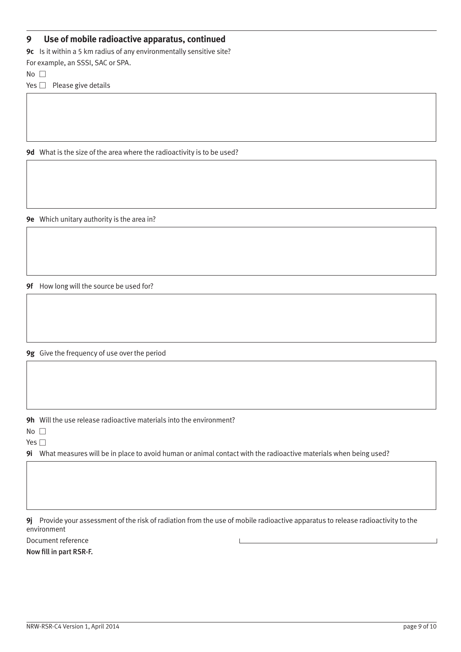## **9 Use of mobile radioactive apparatus, continued**

**9c** Is it within a 5 km radius of any environmentally sensitive site?

For example, an SSSI, SAC or SPA.

 $No$ 

Yes  $\Box$  Please give details

**9d** What is the size of the area where the radioactivity is to be used?

**9e** Which unitary authority is the area in?

**9f** How long will the source be used for?

**9g** Give the frequency of use over the period

**9h** Will the use release radioactive materials into the environment?

 $No \ \Box$ 

Yes  $\square$ 

**9i** What measures will be in place to avoid human or animal contact with the radioactive materials when being used?

**9j** Provide your assessment of the risk of radiation from the use of mobile radioactive apparatus to release radioactivity to the environment

Document reference

Now fill in part RSR-F.